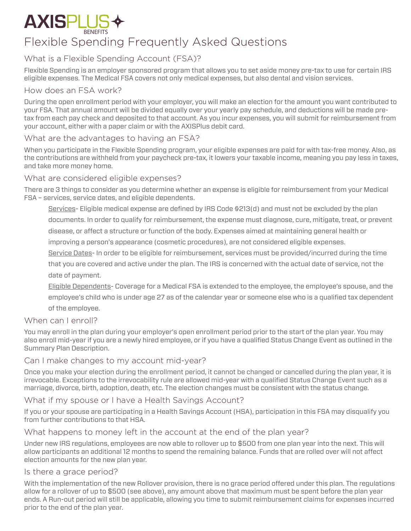# **AXISPLUS**

# Flexible Spending Frequently Asked Questions

# What is a Flexible Spending Account (FSA)?

Flexible Spending is an employer sponsored program that allows you to set aside money pre-tax to use for certain IRS eligible expenses. The Medical FSA covers not only medical expenses, but also dental and vision services.

# How does an FSA work?

During the open enrollment period with your employer, you will make an election for the amount you want contributed to your FSA. That annual amount will be divided equally over your yearly pay schedule, and deductions will be made pretax from each pay check and deposited to that account. As you incur expenses, you will submit for reimbursement from your account, either with a paper claim or with the AXISPlus debit card.

# What are the advantages to having an FSA?

When you participate in the Flexible Spending program, your eligible expenses are paid for with tax-free money. Also, as the contributions are withheld from your paycheck pre-tax, it lowers your taxable income, meaning you pay less in taxes, and take more money home.

# What are considered eligible expenses?

There are 3 things to consider as you determine whether an expense is eligible for reimbursement from your Medical FSA – services, service dates, and eligible dependents.

Services- Eligible medical expense are defined by IRS Code §213(d) and must not be excluded by the plan

documents. In order to qualify for reimbursement, the expense must diagnose, cure, mitigate, treat, or prevent

disease, or affect a structure or function of the body. Expenses aimed at maintaining general health or

improving a person's appearance (cosmetic procedures), are not considered eligible expenses.

Service Dates- In order to be eligible for reimbursement, services must be provided/incurred during the time

that you are covered and active under the plan. The IRS is concerned with the actual date of service, not the date of payment.

Eligible Dependents- Coverage for a Medical FSA is extended to the employee, the employee's spouse, and the employee's child who is under age 27 as of the calendar year or someone else who is a qualified tax dependent of the employee.

# When can I enroll?

You may enroll in the plan during your employer's open enrollment period prior to the start of the plan year. You may also enroll mid-year if you are a newly hired employee, or if you have a qualified Status Change Event as outlined in the Summary Plan Description.

# Can I make changes to my account mid-year?

Once you make your election during the enrollment period, it cannot be changed or cancelled during the plan year, it is irrevocable. Exceptions to the irrevocability rule are allowed mid-year with a qualified Status Change Event such as a marriage, divorce, birth, adoption, death, etc. The election changes must be consistent with the status change.

# What if my spouse or I have a Health Savings Account?

If you or your spouse are participating in a Health Savings Account (HSA), participation in this FSA may disqualify you from further contributions to that HSA.

# What happens to money left in the account at the end of the plan year?

Under new IRS regulations, employees are now able to rollover up to \$500 from one plan year into the next. This will allow participants an additional 12 months to spend the remaining balance. Funds that are rolled over will not affect election amounts for the new plan year.

# Is there a grace period?

With the implementation of the new Rollover provision, there is no grace period offered under this plan. The regulations allow for a rollover of up to \$500 (see above), any amount above that maximum must be spent before the plan year ends. A Run-out period will still be applicable, allowing you time to submit reimbursement claims for expenses incurred prior to the end of the plan year.